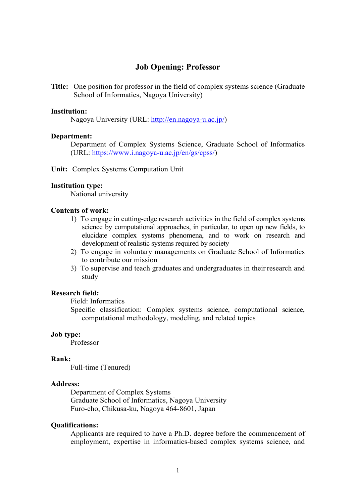# **Job Opening: Professor**

**Title:** One position for professor in the field of complex systems science (Graduate School of Informatics, Nagoya University)

#### **Institution:**

Nagoya University (URL: http://en.nagoya-u.ac.jp/)

#### **Department:**

Department of Complex Systems Science, Graduate School of Informatics (URL: https://www.i.nagoya-u.ac.jp/en/gs/cpss/)

**Unit:** Complex Systems Computation Unit

#### **Institution type:**

National university

#### **Contents of work:**

- 1) To engage in cutting-edge research activities in the field of complex systems science by computational approaches, in particular, to open up new fields, to elucidate complex systems phenomena, and to work on research and development of realistic systems required by society
- 2) To engage in voluntary managements on Graduate School of Informatics to contribute our mission
- 3) To supervise and teach graduates and undergraduates in their research and study

### **Research field:**

Field: Informatics

Specific classification: Complex systems science, computational science, computational methodology, modeling, and related topics

#### **Job type:**

Professor

### **Rank:**

Full-time (Tenured)

## **Address:**

Department of Complex Systems Graduate School of Informatics, Nagoya University Furo-cho, Chikusa-ku, Nagoya 464-8601, Japan

#### **Qualifications:**

Applicants are required to have a Ph.D. degree before the commencement of employment, expertise in informatics-based complex systems science, and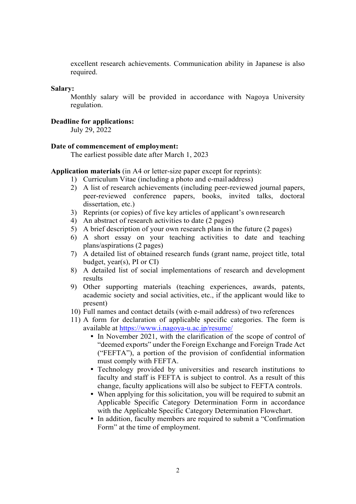excellent research achievements. Communication ability in Japanese is also required.

#### **Salary:**

Monthly salary will be provided in accordance with Nagoya University regulation.

# **Deadline for applications:**

July 29, 2022

#### **Date of commencement of employment:**

The earliest possible date after March 1, 2023

### **Application materials** (in A4 or letter-size paper except for reprints):

- 1) Curriculum Vitae (including a photo and e-mail address)
- 2) A list of research achievements (including peer-reviewed journal papers, peer-reviewed conference papers, books, invited talks, doctoral dissertation, etc.)
- 3) Reprints (or copies) of five key articles of applicant's own research
- 4) An abstract of research activities to date (2 pages)
- 5) A brief description of your own research plans in the future (2 pages)
- 6) A short essay on your teaching activities to date and teaching plans/aspirations (2 pages)
- 7) A detailed list of obtained research funds (grant name, project title, total budget, year(s), PI or CI)
- 8) A detailed list of social implementations of research and development results
- 9) Other supporting materials (teaching experiences, awards, patents, academic society and social activities, etc., if the applicant would like to present)
- 10) Full names and contact details (with e-mail address) of two references
- 11) A form for declaration of applicable specific categories. The form is available at https://www.i.nagoya-u.ac.jp/resume/
	- In November 2021, with the clarification of the scope of control of "deemed exports" under the Foreign Exchange and Foreign Trade Act ("FEFTA"), a portion of the provision of confidential information must comply with FEFTA.
	- Technology provided by universities and research institutions to faculty and staff is FEFTA is subject to control. As a result of this change, faculty applications will also be subject to FEFTA controls.
	- When applying for this solicitation, you will be required to submit an Applicable Specific Category Determination Form in accordance with the Applicable Specific Category Determination Flowchart.
	- In addition, faculty members are required to submit a "Confirmation" Form" at the time of employment.